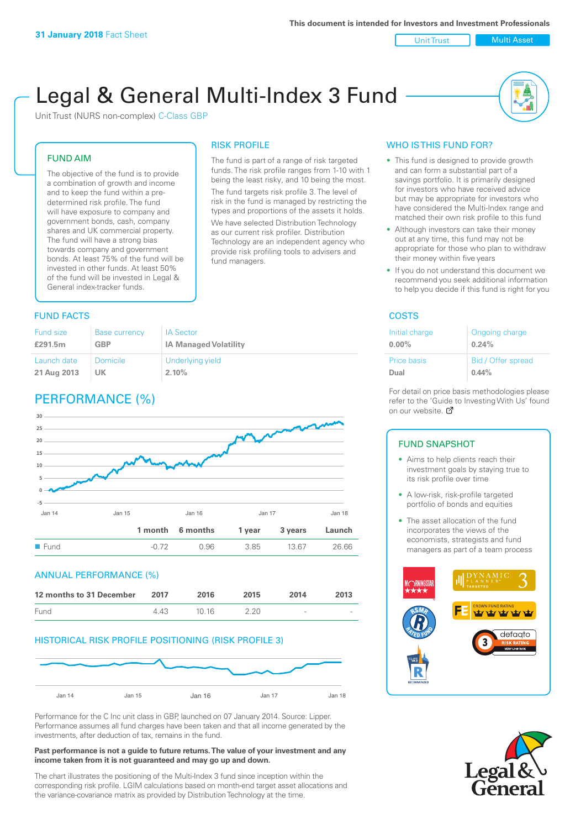Unit Trust Nulti Asset

# Legal & General Multi-Index 3 Fund

RISK PROFILE

fund managers.

The fund is part of a range of risk targeted funds. The risk profile ranges from 1-10 with 1 being the least risky, and 10 being the most. The fund targets risk profile 3. The level of risk in the fund is managed by restricting the types and proportions of the assets it holds. We have selected Distribution Technology as our current risk profiler. Distribution Technology are an independent agency who provide risk profiling tools to advisers and

Unit Trust (NURS non-complex) C-Class GBP

#### FUND AIM

The objective of the fund is to provide a combination of growth and income and to keep the fund within a predetermined risk profile. The fund will have exposure to company and government bonds, cash, company shares and UK commercial property. The fund will have a strong bias towards company and government bonds. At least 75% of the fund will be invested in other funds. At least 50% of the fund will be invested in Legal & General index-tracker funds.

### **FUND FACTS** COSTS

| <b>Fund size</b> | Base currency | <b>IA Sector</b>             |
|------------------|---------------|------------------------------|
| £291.5m          | <b>GBP</b>    | <b>IA Managed Volatility</b> |
| Launch date      | Domicile      | Underlying yield             |
| 21 Aug 2013      | UK            | 2.10%                        |

# PERFORMANCE (%)



#### ANNUAL PERFORMANCE (%)



#### HISTORICAL RISK PROFILE POSITIONING (RISK PROFILE 3)



Performance for the C Inc unit class in GBP, launched on 07 January 2014. Source: Lipper. Performance assumes all fund charges have been taken and that all income generated by the investments, after deduction of tax, remains in the fund.

#### **Past performance is not a guide to future returns. The value of your investment and any income taken from it is not guaranteed and may go up and down.**

The chart illustrates the positioning of the Multi-Index 3 fund since inception within the corresponding risk profile. LGIM calculations based on month-end target asset allocations and the variance-covariance matrix as provided by Distribution Technology at the time.

### WHO IS THIS FUND FOR?

- This fund is designed to provide growth and can form a substantial part of a savings portfolio. It is primarily designed for investors who have received advice but may be appropriate for investors who have considered the Multi-Index range and matched their own risk profile to this fund
- Although investors can take their money out at any time, this fund may not be appropriate for those who plan to withdraw their money within five years
- If you do not understand this document we recommend you seek additional information to help you decide if this fund is right for you

| Initial charge     | Ongoing charge     |
|--------------------|--------------------|
| $0.00\%$           | 0.24%              |
| <b>Price basis</b> | Bid / Offer spread |
| Dual               | 0.44%              |

For detail on price basis methodologies please refer to the 'Gu[ide t](http://www.legalandgeneral.com/guide)o Investing With Us' found on our website. Ø

#### FUND SNAPSHOT

- Aims to help clients reach their investment goals by staying true to its risk profile over time
- A low-risk, risk-profile targeted portfolio of bonds and equities
- The asset allocation of the fund incorporates the views of the economists, strategists and fund managers as part of a team process



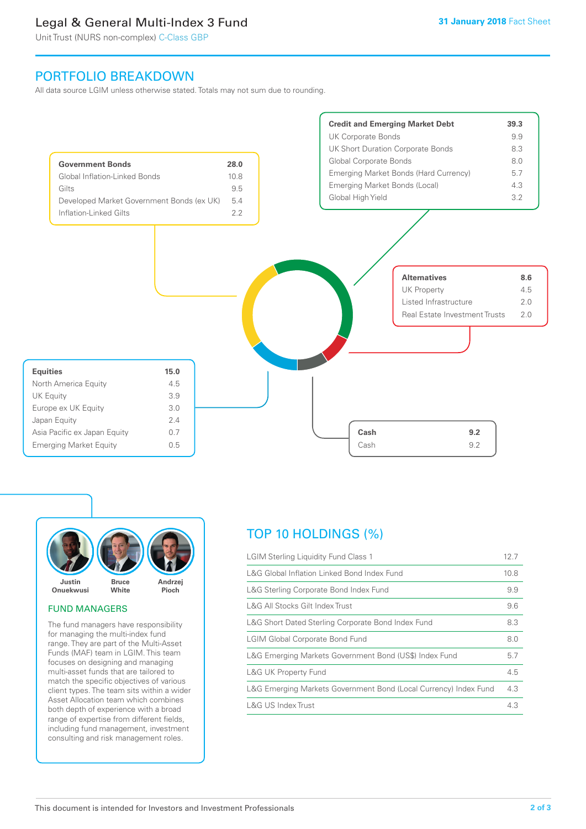# Legal & General Multi-Index 3 Fund

Unit Trust (NURS non-complex) C-Class GBP

## PORTFOLIO BREAKDOWN

All data source LGIM unless otherwise stated. Totals may not sum due to rounding.





#### FUND MANAGERS

The fund managers have responsibility for managing the multi-index fund range. They are part of the Multi-Asset Funds (MAF) team in LGIM. This team focuses on designing and managing multi-asset funds that are tailored to match the specific objectives of various client types. The team sits within a wider Asset Allocation team which combines both depth of experience with a broad range of expertise from different fields, including fund management, investment consulting and risk management roles.

# TOP 10 HOLDINGS (%)

| <b>LGIM Sterling Liquidity Fund Class 1</b>                      |     |
|------------------------------------------------------------------|-----|
| L&G Global Inflation Linked Bond Index Fund                      |     |
| L&G Sterling Corporate Bond Index Fund                           |     |
| L&G All Stocks Gilt Index Trust                                  | 9.6 |
| L&G Short Dated Sterling Corporate Bond Index Fund               |     |
| <b>LGIM Global Corporate Bond Fund</b>                           |     |
| L&G Emerging Markets Government Bond (US\$) Index Fund           |     |
| <b>L&amp;G UK Property Fund</b>                                  |     |
| L&G Emerging Markets Government Bond (Local Currency) Index Fund |     |
| <b>L&amp;G US Index Trust</b>                                    |     |